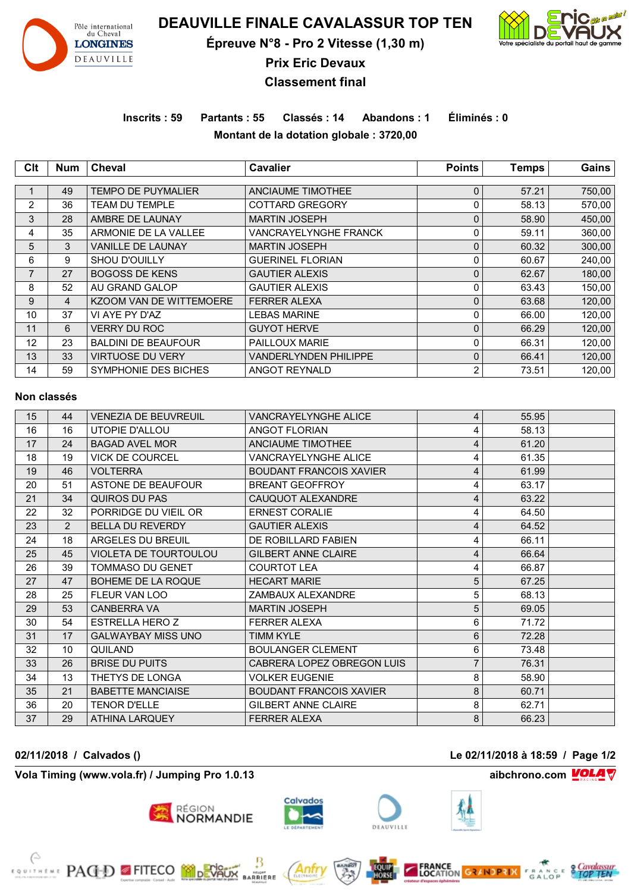

**DEAUVILLE FINALE CAVALASSUR TOP TEN**

**Épreuve N°8 - Pro 2 Vitesse (1,30 m)**



**Prix Eric Devaux**

# **Classement final**

**Inscrits : 59 Partants : 55 Classés : 14 Abandons : 1 Éliminés : 0 Montant de la dotation globale : 3720,00**

| <b>Clt</b>     | <b>Num</b>     | Cheval                     | <b>Cavalier</b>          | <b>Points</b> | <b>Temps</b> | Gains  |  |
|----------------|----------------|----------------------------|--------------------------|---------------|--------------|--------|--|
|                |                |                            |                          |               |              |        |  |
|                | 49             | <b>TEMPO DE PUYMALIER</b>  | <b>ANCIAUME TIMOTHEE</b> | $\mathbf 0$   | 57.21        | 750,00 |  |
| $\overline{2}$ | 36             | TEAM DU TEMPLE             | <b>COTTARD GREGORY</b>   | 0             | 58.13        | 570,00 |  |
| 3              | 28             | AMBRE DE LAUNAY            | <b>MARTIN JOSEPH</b>     | $\mathbf 0$   | 58.90        | 450,00 |  |
| 4              | 35             | ARMONIE DE LA VALLEE       | VANCRAYELYNGHE FRANCK    | 0             | 59.11        | 360,00 |  |
| 5              | 3              | <b>VANILLE DE LAUNAY</b>   | <b>MARTIN JOSEPH</b>     | $\mathbf 0$   | 60.32        | 300,00 |  |
| 6              | 9              | <b>SHOU D'OUILLY</b>       | <b>GUERINEL FLORIAN</b>  | 0             | 60.67        | 240,00 |  |
| 7              | 27             | <b>BOGOSS DE KENS</b>      | <b>GAUTIER ALEXIS</b>    | $\mathbf 0$   | 62.67        | 180,00 |  |
| 8              | 52             | AU GRAND GALOP             | <b>GAUTIER ALEXIS</b>    | 0             | 63.43        | 150,00 |  |
| 9              | $\overline{4}$ | KZOOM VAN DE WITTEMOERE    | <b>FERRER ALEXA</b>      | $\mathbf 0$   | 63.68        | 120,00 |  |
| 10             | 37             | VI AYE PY D'AZ             | <b>LEBAS MARINE</b>      | 0             | 66.00        | 120,00 |  |
| 11             | 6              | <b>VERRY DU ROC</b>        | <b>GUYOT HERVE</b>       | $\mathbf 0$   | 66.29        | 120,00 |  |
| 12             | 23             | <b>BALDINI DE BEAUFOUR</b> | PAILLOUX MARIE           | 0             | 66.31        | 120,00 |  |
| 13             | 33             | <b>VIRTUOSE DU VERY</b>    | VANDERLYNDEN PHILIPPE    | $\mathbf 0$   | 66.41        | 120,00 |  |
| 14             | 59             | SYMPHONIE DES BICHES       | ANGOT REYNALD            | 2             | 73.51        | 120,00 |  |

#### **Non classés**

| 15 | 44 | <b>VENEZIA DE BEUVREUIL</b>  | <b>VANCRAYELYNGHE ALICE</b>    | $\overline{4}$ | 55.95 |  |
|----|----|------------------------------|--------------------------------|----------------|-------|--|
| 16 | 16 | UTOPIE D'ALLOU               | <b>ANGOT FLORIAN</b>           | 4              | 58.13 |  |
| 17 | 24 | <b>BAGAD AVEL MOR</b>        | ANCIAUME TIMOTHEE              | 4              | 61.20 |  |
| 18 | 19 | <b>VICK DE COURCEL</b>       | VANCRAYELYNGHE ALICE           | 4              | 61.35 |  |
| 19 | 46 | <b>VOI TERRA</b>             | <b>BOUDANT FRANCOIS XAVIER</b> | 4              | 61.99 |  |
| 20 | 51 | ASTONE DE BEAUFOUR           | <b>BREANT GEOFFROY</b>         | 4              | 63.17 |  |
| 21 | 34 | QUIROS DU PAS                | CAUQUOT ALEXANDRE              | 4              | 63.22 |  |
| 22 | 32 | PORRIDGE DU VIEIL OR         | <b>ERNEST CORALIE</b>          | 4              | 64.50 |  |
| 23 | 2  | <b>BELLA DU REVERDY</b>      | <b>GAUTIER ALEXIS</b>          | 4              | 64.52 |  |
| 24 | 18 | ARGELES DU BREUIL            | DE ROBILLARD FABIEN            | 4              | 66.11 |  |
| 25 | 45 | <b>VIOLETA DE TOURTOULOU</b> | <b>GILBERT ANNE CLAIRE</b>     | 4              | 66.64 |  |
| 26 | 39 | <b>TOMMASO DU GENET</b>      | <b>COURTOT LEA</b>             | 4              | 66.87 |  |
| 27 | 47 | BOHEME DE LA ROQUE           | <b>HECART MARIE</b>            | 5              | 67.25 |  |
| 28 | 25 | <b>FLEUR VAN LOO</b>         | ZAMBAUX ALEXANDRE              | 5              | 68.13 |  |
| 29 | 53 | <b>CANBERRA VA</b>           | <b>MARTIN JOSEPH</b>           | 5              | 69.05 |  |
| 30 | 54 | <b>ESTRELLA HERO Z</b>       | <b>FERRER ALEXA</b>            | 6              | 71.72 |  |
| 31 | 17 | <b>GALWAYBAY MISS UNO</b>    | TIMM KYLE                      | 6              | 72.28 |  |
| 32 | 10 | QUILAND                      | <b>BOULANGER CLEMENT</b>       | 6              | 73.48 |  |
| 33 | 26 | <b>BRISE DU PUITS</b>        | CABRERA LOPEZ OBREGON LUIS     | $\overline{7}$ | 76.31 |  |
| 34 | 13 | THETYS DE LONGA              | <b>VOLKER EUGENIE</b>          | 8              | 58.90 |  |
| 35 | 21 | <b>BABETTE MANCIAISE</b>     | <b>BOUDANT FRANCOIS XAVIER</b> | 8              | 60.71 |  |
| 36 | 20 | <b>TENOR D'ELLE</b>          | <b>GILBERT ANNE CLAIRE</b>     | 8              | 62.71 |  |
| 37 | 29 | <b>ATHINA LARQUEY</b>        | <b>FERRER ALEXA</b>            | 8              | 66.23 |  |

**Vola Timing (www.vola.fr) / Jumping Pro 1.0.13 aibchrono.com VOLA** 

**EXAMPLE PAGED FITECO MODEVALIX** 



**MOONT**<br>RRIERE



**02/11/2018 / Calvados () Le 02/11/2018 à 18:59 / Page 1/2**



**FRANCE**<br>LOCATION GRANDPRIX FRANCE STOP TEN